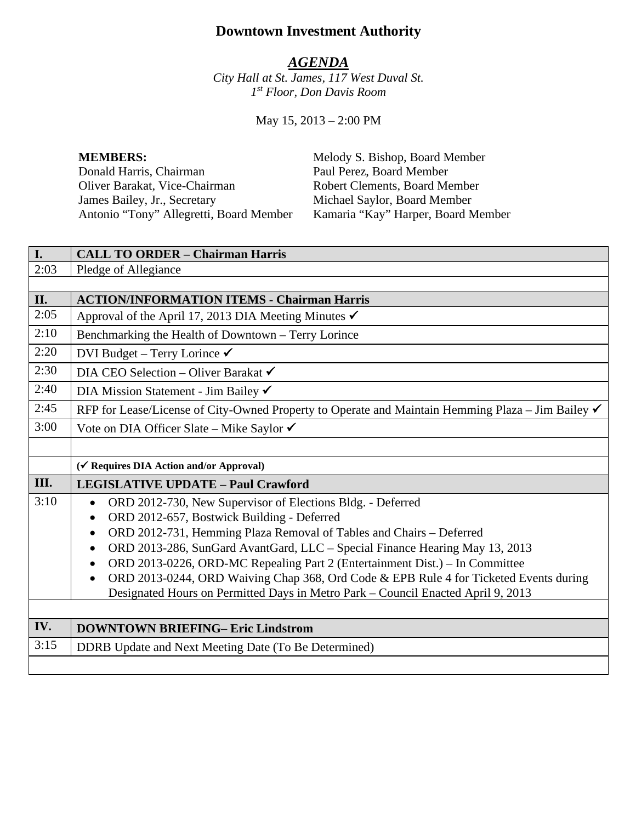# **Downtown Investment Authority**

# *AGENDA*

*City Hall at St. James, 117 West Duval St. 1st Floor, Don Davis Room*

May 15, 2013 – 2:00 PM

Donald Harris, Chairman Paul Perez, Board Member Oliver Barakat, Vice-Chairman Robert Clements, Board Member<br>
James Bailey, Jr., Secretary Michael Saylor, Board Member James Bailey, Jr., Secretary Michael Saylor, Board Member Antonio "Tony" Allegretti, Board Member Kamaria "Kay" Harper, Board Member

**MEMBERS:** Melody S. Bishop, Board Member

| I.   | <b>CALL TO ORDER - Chairman Harris</b>                                                            |  |
|------|---------------------------------------------------------------------------------------------------|--|
| 2:03 | Pledge of Allegiance                                                                              |  |
|      |                                                                                                   |  |
| II.  | <b>ACTION/INFORMATION ITEMS - Chairman Harris</b>                                                 |  |
| 2:05 | Approval of the April 17, 2013 DIA Meeting Minutes $\checkmark$                                   |  |
| 2:10 | Benchmarking the Health of Downtown - Terry Lorince                                               |  |
| 2:20 | DVI Budget - Terry Lorince $\checkmark$                                                           |  |
| 2:30 | DIA CEO Selection - Oliver Barakat $\checkmark$                                                   |  |
| 2:40 | DIA Mission Statement - Jim Bailey ✔                                                              |  |
| 2:45 | RFP for Lease/License of City-Owned Property to Operate and Maintain Hemming Plaza – Jim Bailey √ |  |
| 3:00 | Vote on DIA Officer Slate – Mike Saylor ✔                                                         |  |
|      |                                                                                                   |  |
|      | (√ Requires DIA Action and/or Approval)                                                           |  |
|      |                                                                                                   |  |
| III. | <b>LEGISLATIVE UPDATE - Paul Crawford</b>                                                         |  |
| 3:10 | ORD 2012-730, New Supervisor of Elections Bldg. - Deferred                                        |  |
|      | ORD 2012-657, Bostwick Building - Deferred<br>$\bullet$                                           |  |
|      | ORD 2012-731, Hemming Plaza Removal of Tables and Chairs - Deferred<br>$\bullet$                  |  |
|      | ORD 2013-286, SunGard AvantGard, LLC - Special Finance Hearing May 13, 2013<br>$\bullet$          |  |
|      | ORD 2013-0226, ORD-MC Repealing Part 2 (Entertainment Dist.) – In Committee<br>$\bullet$          |  |
|      | ORD 2013-0244, ORD Waiving Chap 368, Ord Code & EPB Rule 4 for Ticketed Events during             |  |
|      | Designated Hours on Permitted Days in Metro Park - Council Enacted April 9, 2013                  |  |
|      |                                                                                                   |  |
| IV.  | <b>DOWNTOWN BRIEFING- Eric Lindstrom</b>                                                          |  |
| 3:15 | DDRB Update and Next Meeting Date (To Be Determined)                                              |  |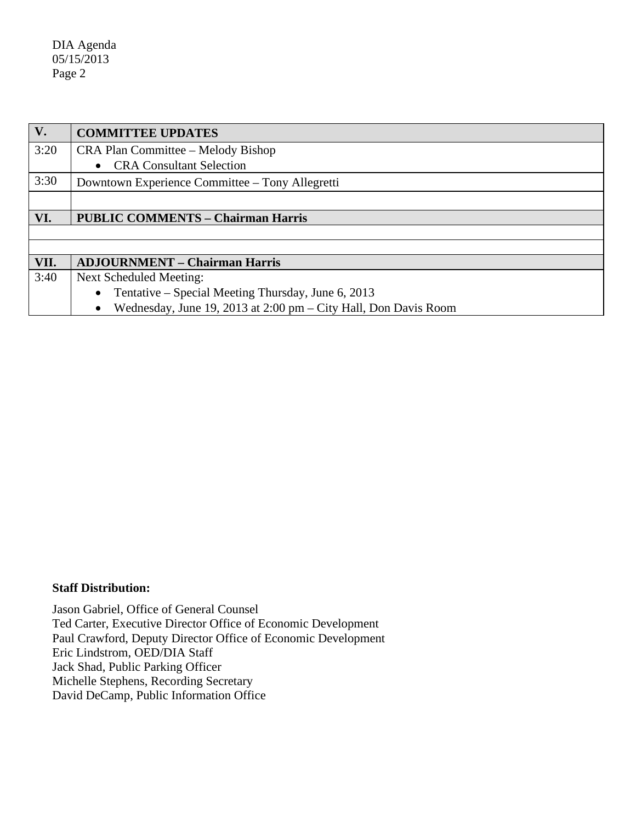DIA Agenda 05/15/2013 Page 2

| V.   | <b>COMMITTEE UPDATES</b>                                        |  |
|------|-----------------------------------------------------------------|--|
| 3:20 | CRA Plan Committee – Melody Bishop                              |  |
|      | <b>CRA Consultant Selection</b>                                 |  |
| 3:30 | Downtown Experience Committee – Tony Allegretti                 |  |
|      |                                                                 |  |
| VI.  | <b>PUBLIC COMMENTS - Chairman Harris</b>                        |  |
|      |                                                                 |  |
|      |                                                                 |  |
| VII. | <b>ADJOURNMENT - Chairman Harris</b>                            |  |
| 3:40 | Next Scheduled Meeting:                                         |  |
|      | Tentative – Special Meeting Thursday, June 6, 2013              |  |
|      | Wednesday, June 19, 2013 at 2:00 pm – City Hall, Don Davis Room |  |

#### **Staff Distribution:**

Jason Gabriel, Office of General Counsel Ted Carter, Executive Director Office of Economic Development Paul Crawford, Deputy Director Office of Economic Development Eric Lindstrom, OED/DIA Staff Jack Shad, Public Parking Officer Michelle Stephens, Recording Secretary David DeCamp, Public Information Office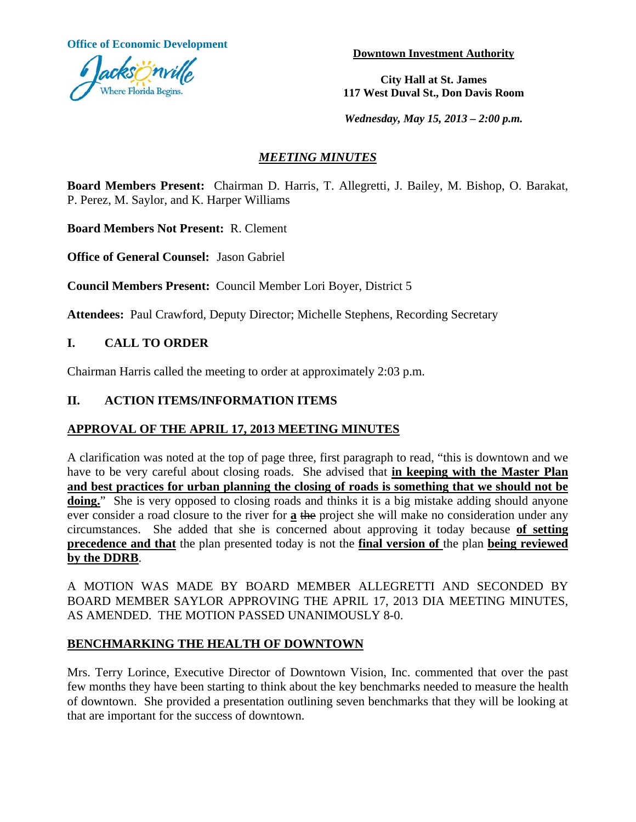**Office of Economic Development Development Downtown Investment Authority** 



**City Hall at St. James 117 West Duval St., Don Davis Room**

*Wednesday, May 15, 2013 – 2:00 p.m.* 

# *MEETING MINUTES*

**Board Members Present:** Chairman D. Harris, T. Allegretti, J. Bailey, M. Bishop, O. Barakat, P. Perez, M. Saylor, and K. Harper Williams

**Board Members Not Present:** R. Clement

**Office of General Counsel:** Jason Gabriel

**Council Members Present:** Council Member Lori Boyer, District 5

**Attendees:** Paul Crawford, Deputy Director; Michelle Stephens, Recording Secretary

# **I. CALL TO ORDER**

Chairman Harris called the meeting to order at approximately 2:03 p.m.

### **II. ACTION ITEMS/INFORMATION ITEMS**

#### **APPROVAL OF THE APRIL 17, 2013 MEETING MINUTES**

A clarification was noted at the top of page three, first paragraph to read, "this is downtown and we have to be very careful about closing roads. She advised that **in keeping with the Master Plan and best practices for urban planning the closing of roads is something that we should not be**  doing." She is very opposed to closing roads and thinks it is a big mistake adding should anyone ever consider a road closure to the river for **a** the project she will make no consideration under any circumstances. She added that she is concerned about approving it today because **of setting precedence and that** the plan presented today is not the **final version of** the plan **being reviewed by the DDRB**.

A MOTION WAS MADE BY BOARD MEMBER ALLEGRETTI AND SECONDED BY BOARD MEMBER SAYLOR APPROVING THE APRIL 17, 2013 DIA MEETING MINUTES, AS AMENDED. THE MOTION PASSED UNANIMOUSLY 8-0.

# **BENCHMARKING THE HEALTH OF DOWNTOWN**

Mrs. Terry Lorince, Executive Director of Downtown Vision, Inc. commented that over the past few months they have been starting to think about the key benchmarks needed to measure the health of downtown. She provided a presentation outlining seven benchmarks that they will be looking at that are important for the success of downtown.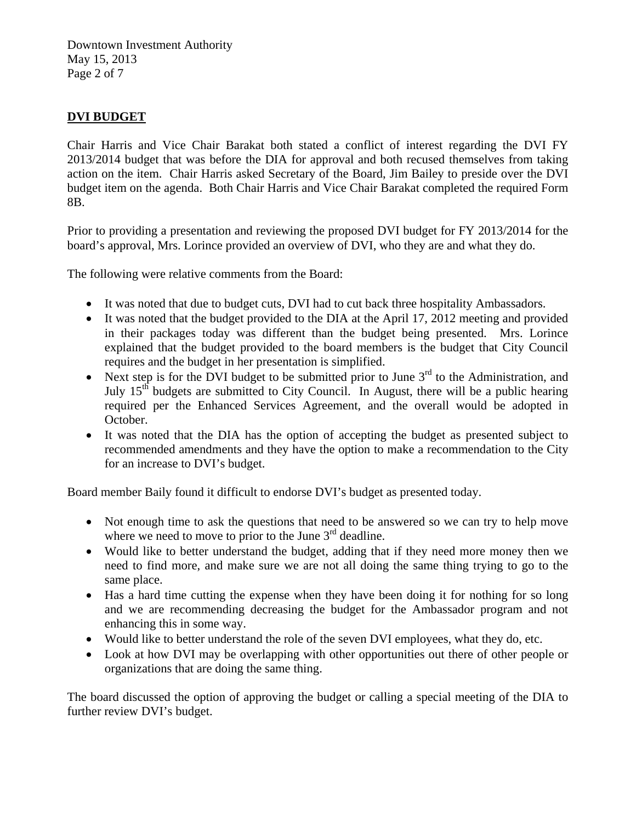Downtown Investment Authority May 15, 2013 Page 2 of 7

# **DVI BUDGET**

Chair Harris and Vice Chair Barakat both stated a conflict of interest regarding the DVI FY 2013/2014 budget that was before the DIA for approval and both recused themselves from taking action on the item. Chair Harris asked Secretary of the Board, Jim Bailey to preside over the DVI budget item on the agenda. Both Chair Harris and Vice Chair Barakat completed the required Form 8B.

Prior to providing a presentation and reviewing the proposed DVI budget for FY 2013/2014 for the board's approval, Mrs. Lorince provided an overview of DVI, who they are and what they do.

The following were relative comments from the Board:

- It was noted that due to budget cuts, DVI had to cut back three hospitality Ambassadors.
- It was noted that the budget provided to the DIA at the April 17, 2012 meeting and provided in their packages today was different than the budget being presented. Mrs. Lorince explained that the budget provided to the board members is the budget that City Council requires and the budget in her presentation is simplified.
- Next step is for the DVI budget to be submitted prior to June  $3^{rd}$  to the Administration, and July  $15<sup>th</sup>$  budgets are submitted to City Council. In August, there will be a public hearing required per the Enhanced Services Agreement, and the overall would be adopted in October.
- It was noted that the DIA has the option of accepting the budget as presented subject to recommended amendments and they have the option to make a recommendation to the City for an increase to DVI's budget.

Board member Baily found it difficult to endorse DVI's budget as presented today.

- Not enough time to ask the questions that need to be answered so we can try to help move where we need to move to prior to the June  $3<sup>rd</sup>$  deadline.
- Would like to better understand the budget, adding that if they need more money then we need to find more, and make sure we are not all doing the same thing trying to go to the same place.
- Has a hard time cutting the expense when they have been doing it for nothing for so long and we are recommending decreasing the budget for the Ambassador program and not enhancing this in some way.
- Would like to better understand the role of the seven DVI employees, what they do, etc.
- Look at how DVI may be overlapping with other opportunities out there of other people or organizations that are doing the same thing.

The board discussed the option of approving the budget or calling a special meeting of the DIA to further review DVI's budget.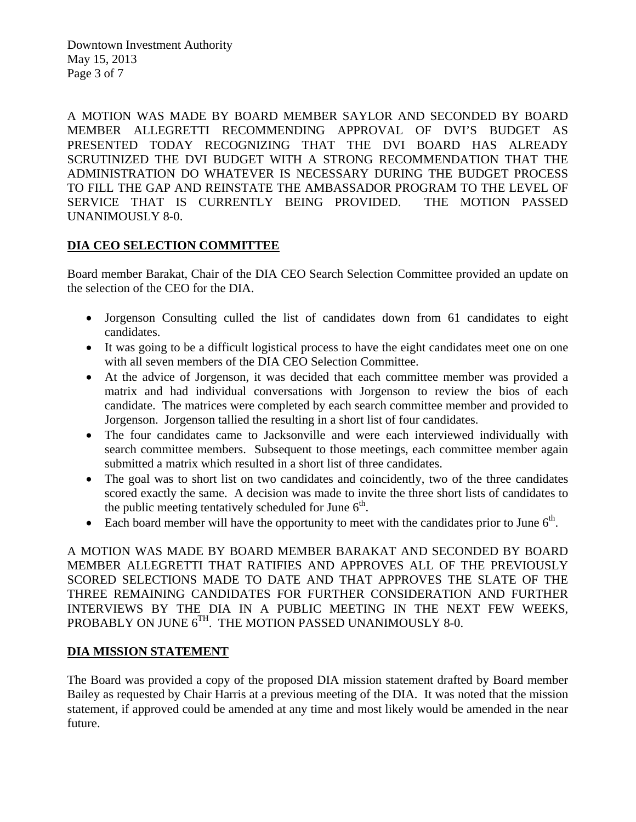Downtown Investment Authority May 15, 2013 Page 3 of 7

A MOTION WAS MADE BY BOARD MEMBER SAYLOR AND SECONDED BY BOARD MEMBER ALLEGRETTI RECOMMENDING APPROVAL OF DVI'S BUDGET AS PRESENTED TODAY RECOGNIZING THAT THE DVI BOARD HAS ALREADY SCRUTINIZED THE DVI BUDGET WITH A STRONG RECOMMENDATION THAT THE ADMINISTRATION DO WHATEVER IS NECESSARY DURING THE BUDGET PROCESS TO FILL THE GAP AND REINSTATE THE AMBASSADOR PROGRAM TO THE LEVEL OF SERVICE THAT IS CURRENTLY BEING PROVIDED. THE MOTION PASSED UNANIMOUSLY 8-0.

# **DIA CEO SELECTION COMMITTEE**

Board member Barakat, Chair of the DIA CEO Search Selection Committee provided an update on the selection of the CEO for the DIA.

- Jorgenson Consulting culled the list of candidates down from 61 candidates to eight candidates.
- It was going to be a difficult logistical process to have the eight candidates meet one on one with all seven members of the DIA CEO Selection Committee.
- At the advice of Jorgenson, it was decided that each committee member was provided a matrix and had individual conversations with Jorgenson to review the bios of each candidate. The matrices were completed by each search committee member and provided to Jorgenson. Jorgenson tallied the resulting in a short list of four candidates.
- The four candidates came to Jacksonville and were each interviewed individually with search committee members. Subsequent to those meetings, each committee member again submitted a matrix which resulted in a short list of three candidates.
- The goal was to short list on two candidates and coincidently, two of the three candidates scored exactly the same. A decision was made to invite the three short lists of candidates to the public meeting tentatively scheduled for June  $6<sup>th</sup>$ .
- Each board member will have the opportunity to meet with the candidates prior to June  $6<sup>th</sup>$ .

A MOTION WAS MADE BY BOARD MEMBER BARAKAT AND SECONDED BY BOARD MEMBER ALLEGRETTI THAT RATIFIES AND APPROVES ALL OF THE PREVIOUSLY SCORED SELECTIONS MADE TO DATE AND THAT APPROVES THE SLATE OF THE THREE REMAINING CANDIDATES FOR FURTHER CONSIDERATION AND FURTHER INTERVIEWS BY THE DIA IN A PUBLIC MEETING IN THE NEXT FEW WEEKS, PROBABLY ON JUNE  $6^{TH}$ . THE MOTION PASSED UNANIMOUSLY 8-0.

#### **DIA MISSION STATEMENT**

The Board was provided a copy of the proposed DIA mission statement drafted by Board member Bailey as requested by Chair Harris at a previous meeting of the DIA. It was noted that the mission statement, if approved could be amended at any time and most likely would be amended in the near future.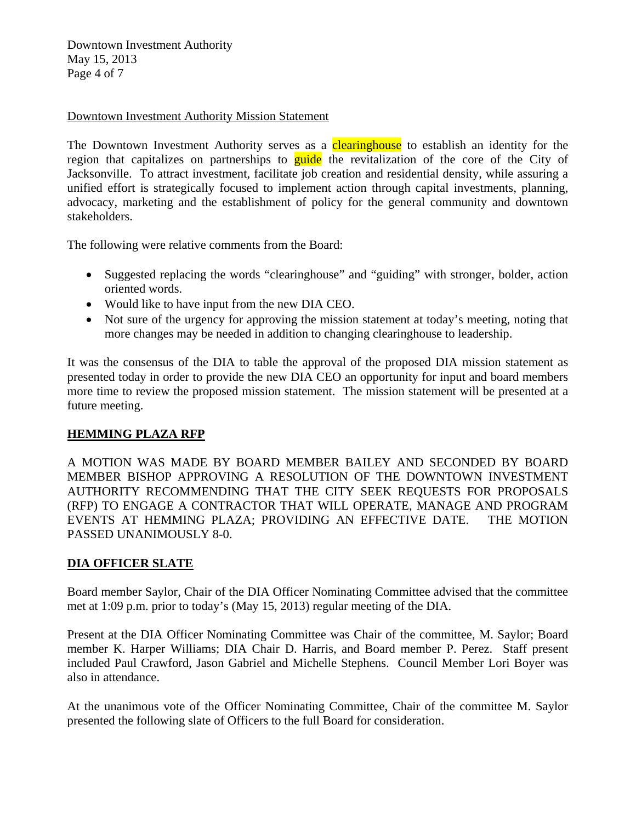Downtown Investment Authority May 15, 2013 Page 4 of 7

#### Downtown Investment Authority Mission Statement

The Downtown Investment Authority serves as a **clearinghouse** to establish an identity for the region that capitalizes on partnerships to guide the revitalization of the core of the City of Jacksonville. To attract investment, facilitate job creation and residential density, while assuring a unified effort is strategically focused to implement action through capital investments, planning, advocacy, marketing and the establishment of policy for the general community and downtown stakeholders.

The following were relative comments from the Board:

- Suggested replacing the words "clearinghouse" and "guiding" with stronger, bolder, action oriented words.
- Would like to have input from the new DIA CEO.
- Not sure of the urgency for approving the mission statement at today's meeting, noting that more changes may be needed in addition to changing clearinghouse to leadership.

It was the consensus of the DIA to table the approval of the proposed DIA mission statement as presented today in order to provide the new DIA CEO an opportunity for input and board members more time to review the proposed mission statement. The mission statement will be presented at a future meeting.

# **HEMMING PLAZA RFP**

A MOTION WAS MADE BY BOARD MEMBER BAILEY AND SECONDED BY BOARD MEMBER BISHOP APPROVING A RESOLUTION OF THE DOWNTOWN INVESTMENT AUTHORITY RECOMMENDING THAT THE CITY SEEK REQUESTS FOR PROPOSALS (RFP) TO ENGAGE A CONTRACTOR THAT WILL OPERATE, MANAGE AND PROGRAM EVENTS AT HEMMING PLAZA; PROVIDING AN EFFECTIVE DATE. THE MOTION PASSED UNANIMOUSLY 8-0.

# **DIA OFFICER SLATE**

Board member Saylor, Chair of the DIA Officer Nominating Committee advised that the committee met at 1:09 p.m. prior to today's (May 15, 2013) regular meeting of the DIA.

Present at the DIA Officer Nominating Committee was Chair of the committee, M. Saylor; Board member K. Harper Williams; DIA Chair D. Harris, and Board member P. Perez. Staff present included Paul Crawford, Jason Gabriel and Michelle Stephens. Council Member Lori Boyer was also in attendance.

At the unanimous vote of the Officer Nominating Committee, Chair of the committee M. Saylor presented the following slate of Officers to the full Board for consideration.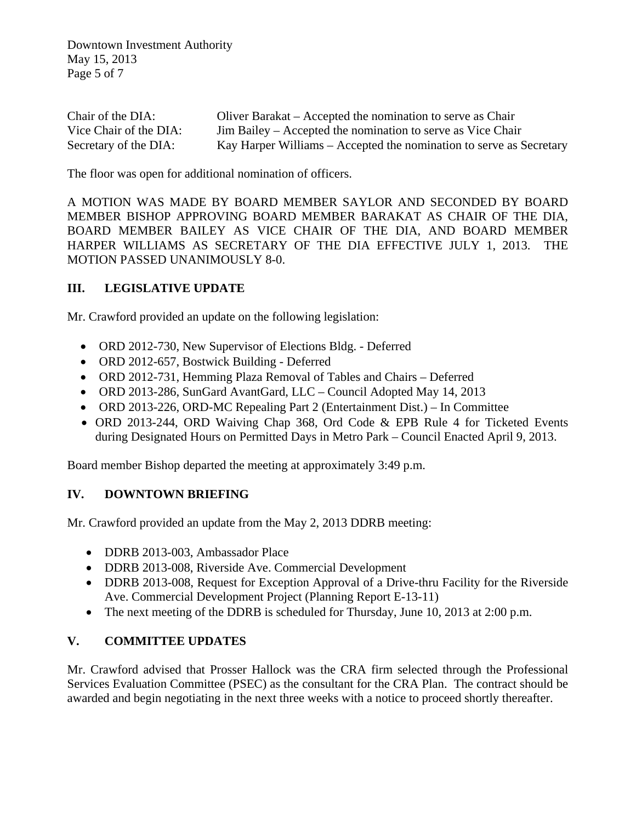Downtown Investment Authority May 15, 2013 Page 5 of 7

| Chair of the DIA:      | Oliver Barakat – Accepted the nomination to serve as Chair          |
|------------------------|---------------------------------------------------------------------|
| Vice Chair of the DIA: | Jim Bailey – Accepted the nomination to serve as Vice Chair         |
| Secretary of the DIA:  | Kay Harper Williams – Accepted the nomination to serve as Secretary |

The floor was open for additional nomination of officers.

A MOTION WAS MADE BY BOARD MEMBER SAYLOR AND SECONDED BY BOARD MEMBER BISHOP APPROVING BOARD MEMBER BARAKAT AS CHAIR OF THE DIA, BOARD MEMBER BAILEY AS VICE CHAIR OF THE DIA, AND BOARD MEMBER HARPER WILLIAMS AS SECRETARY OF THE DIA EFFECTIVE JULY 1, 2013. THE MOTION PASSED UNANIMOUSLY 8-0.

# **III. LEGISLATIVE UPDATE**

Mr. Crawford provided an update on the following legislation:

- ORD 2012-730, New Supervisor of Elections Bldg. Deferred
- ORD 2012-657, Bostwick Building Deferred
- ORD 2012-731, Hemming Plaza Removal of Tables and Chairs Deferred
- ORD 2013-286, SunGard AvantGard, LLC Council Adopted May 14, 2013
- ORD 2013-226, ORD-MC Repealing Part 2 (Entertainment Dist.) In Committee
- ORD 2013-244, ORD Waiving Chap 368, Ord Code & EPB Rule 4 for Ticketed Events during Designated Hours on Permitted Days in Metro Park – Council Enacted April 9, 2013.

Board member Bishop departed the meeting at approximately 3:49 p.m.

# **IV. DOWNTOWN BRIEFING**

Mr. Crawford provided an update from the May 2, 2013 DDRB meeting:

- DDRB 2013-003, Ambassador Place
- DDRB 2013-008, Riverside Ave. Commercial Development
- DDRB 2013-008, Request for Exception Approval of a Drive-thru Facility for the Riverside Ave. Commercial Development Project (Planning Report E-13-11)
- The next meeting of the DDRB is scheduled for Thursday, June 10, 2013 at 2:00 p.m.

# **V. COMMITTEE UPDATES**

Mr. Crawford advised that Prosser Hallock was the CRA firm selected through the Professional Services Evaluation Committee (PSEC) as the consultant for the CRA Plan. The contract should be awarded and begin negotiating in the next three weeks with a notice to proceed shortly thereafter.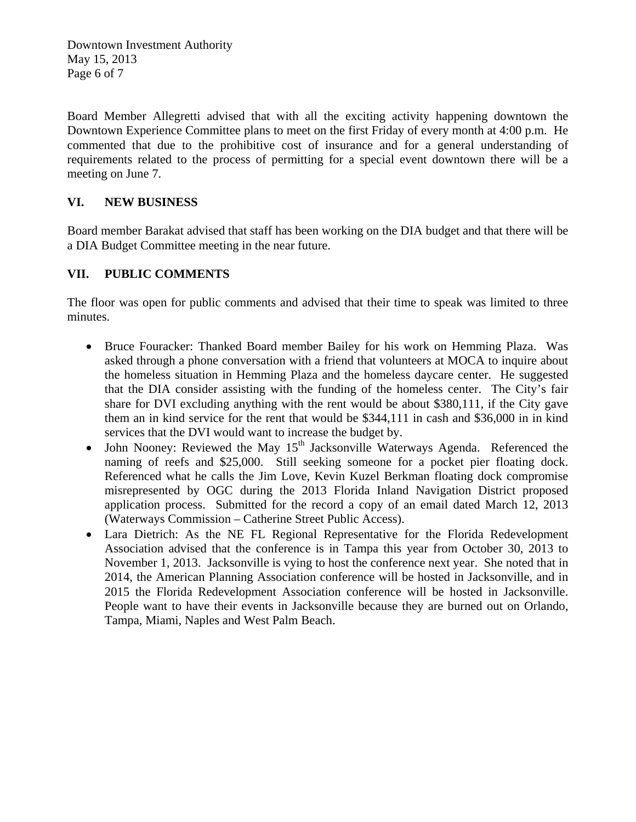Downtown Investment Authority May 15, 2013 Page 6 of 7

Board Member Allegretti advised that with all the exciting activity happening downtown the Downtown Experience Committee plans to meet on the first Friday of every month at 4:00 p.m. He commented that due to the prohibitive cost of insurance and for a general understanding of requirements related to the process of permitting for a special event downtown there will be a meeting on June 7.

# **VI. NEW BUSINESS**

Board member Barakat advised that staff has been working on the DIA budget and that there will be a DIA Budget Committee meeting in the near future.

# **VII. PUBLIC COMMENTS**

The floor was open for public comments and advised that their time to speak was limited to three minutes.

- Bruce Fouracker: Thanked Board member Bailey for his work on Hemming Plaza. Was asked through a phone conversation with a friend that volunteers at MOCA to inquire about the homeless situation in Hemming Plaza and the homeless daycare center. He suggested that the DIA consider assisting with the funding of the homeless center. The City's fair share for DVI excluding anything with the rent would be about \$380,111, if the City gave them an in kind service for the rent that would be \$344,111 in cash and \$36,000 in in kind services that the DVI would want to increase the budget by.
- $\bullet$  John Nooney: Reviewed the May 15<sup>th</sup> Jacksonville Waterways Agenda. Referenced the naming of reefs and \$25,000. Still seeking someone for a pocket pier floating dock. Referenced what he calls the Jim Love, Kevin Kuzel Berkman floating dock compromise misrepresented by OGC during the 2013 Florida Inland Navigation District proposed application process. Submitted for the record a copy of an email dated March 12, 2013 (Waterways Commission – Catherine Street Public Access).
- Lara Dietrich: As the NE FL Regional Representative for the Florida Redevelopment Association advised that the conference is in Tampa this year from October 30, 2013 to November 1, 2013. Jacksonville is vying to host the conference next year. She noted that in 2014, the American Planning Association conference will be hosted in Jacksonville, and in 2015 the Florida Redevelopment Association conference will be hosted in Jacksonville. People want to have their events in Jacksonville because they are burned out on Orlando, Tampa, Miami, Naples and West Palm Beach.